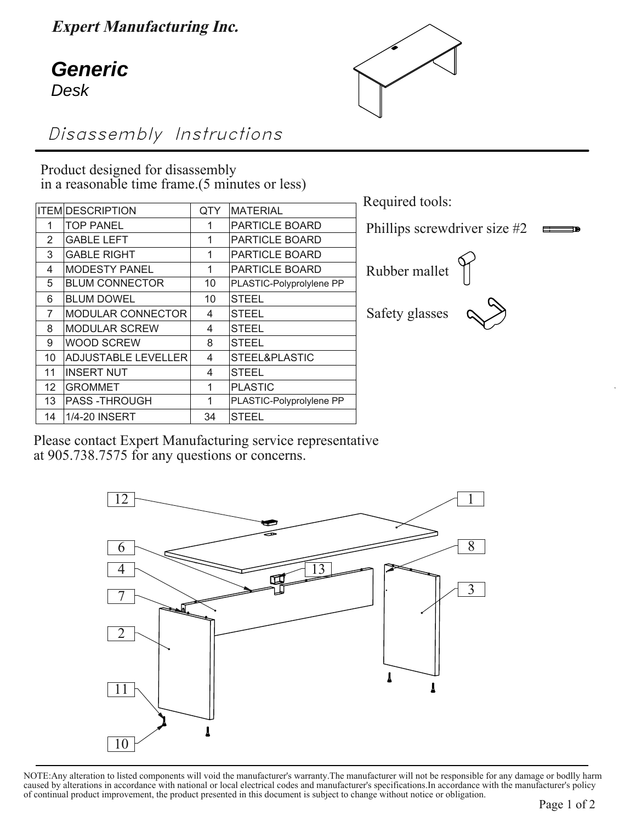**Expert Manufacturing Inc.**

## Jefferto<br>Deek **Generic** Desk



Disassembly Instructions

Product designed for disassembly in a reasonable time frame.(5 minutes or less)

|                | <b>ITEM DESCRIPTION</b>    | <b>QTY</b> | <b>MATERIAL</b>          |
|----------------|----------------------------|------------|--------------------------|
| 1              | <b>TOP PANEL</b>           | 1          | <b>PARTICLE BOARD</b>    |
| 2              | <b>GABLE LEFT</b>          | 1          | PARTICLE BOARD           |
| 3              | <b>GABLE RIGHT</b>         | 1          | PARTICLE BOARD           |
| 4              | <b>MODESTY PANEL</b>       | 1          | PARTICLE BOARD           |
| 5              | <b>BLUM CONNECTOR</b>      | 10         | PLASTIC-Polyprolylene PP |
| 6              | <b>BLUM DOWEL</b>          | 10         | <b>STEEL</b>             |
| $\overline{7}$ | MODULAR CONNECTOR          | 4          | <b>STEEL</b>             |
| 8              | <b>MODULAR SCREW</b>       | 4          | <b>STEEL</b>             |
| 9              | <b>WOOD SCREW</b>          | 8          | <b>STEEL</b>             |
| 10             | <b>ADJUSTABLE LEVELLER</b> | 4          | STEEL&PLASTIC            |
| 11             | <b>INSERT NUT</b>          | 4          | <b>STEEL</b>             |
| 12             | <b>GROMMET</b>             | 1          | <b>PLASTIC</b>           |
| 13             | <b>PASS-THROUGH</b>        | 1          | PLASTIC-Polyprolylene PP |
| 14             | 1/4-20 INSERT              | 34         | <b>STEEL</b>             |
|                |                            |            |                          |

Required tools: Phillips screwdriver size #2  $\equiv$   $\equiv$   $\equiv$   $\equiv$ Rubber mallet Safety glasses

Please contact Expert Manufacturing service representative at 905.738.7575 for any questions or concerns.



NOTE:Any alteration to listed components will void the manufacturer's warranty.The manufacturer will not be responsible for any damage or bodlly harm caused by alterations in accordance with national or local electrical codes and manufacturer's specifications.In accordance with the manufacturer's policy of continual product improvement, the product presented in this document is subject to change without notice or obligation.